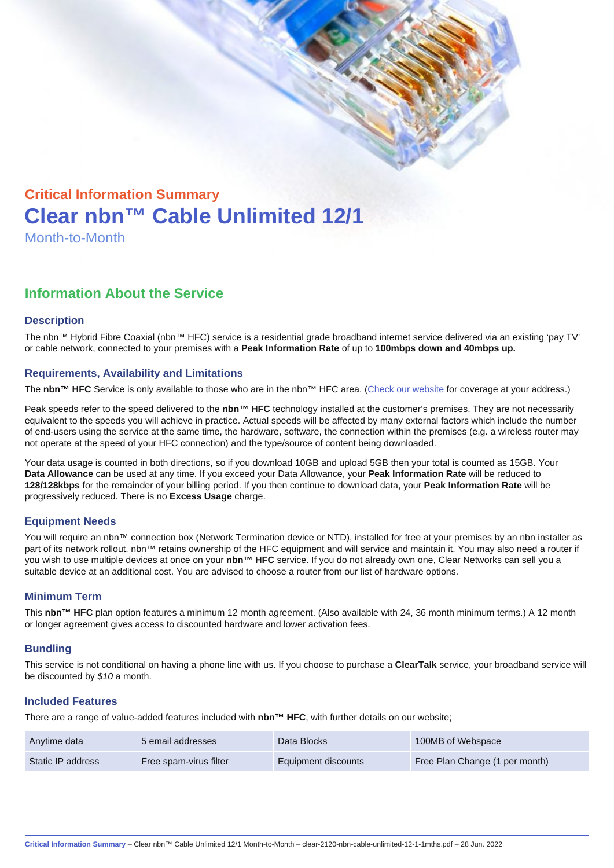# Critical Information Summary Clear nbn™ Cable Unlimited 12/1 Month-to-Month

## Information About the Service

#### **Description**

The nbn™ Hybrid Fibre Coaxial (nbn™ HFC) service is a residential grade broadband internet service delivered via an existing 'pay TV' or cable network, connected to your premises with a Peak Information Rate of up to 100mbps down and 40mbps up.

#### Requirements, Availability and Limitations

The nbn™ HFC Service is only available to those who are in the nbn™ HFC area. ([Check our website](https://www.clear.com.au/business/nbn-fixed/) for coverage at your address.)

Peak speeds refer to the speed delivered to the nbn™ HFC technology installed at the customer's premises. They are not necessarily equivalent to the speeds you will achieve in practice. Actual speeds will be affected by many external factors which include the number of end-users using the service at the same time, the hardware, software, the connection within the premises (e.g. a wireless router may not operate at the speed of your HFC connection) and the type/source of content being downloaded.

Your data usage is counted in both directions, so if you download 10GB and upload 5GB then your total is counted as 15GB. Your Data Allowance can be used at any time. If you exceed your Data Allowance, your Peak Information Rate will be reduced to 128/128kbps for the remainder of your billing period. If you then continue to download data, your Peak Information Rate will be progressively reduced. There is no Excess Usage charge.

#### Equipment Needs

You will require an nbn™ connection box (Network Termination device or NTD), installed for free at your premises by an nbn installer as part of its network rollout. nbn™ retains ownership of the HFC equipment and will service and maintain it. You may also need a router if you wish to use multiple devices at once on your nbn™ HFC service. If you do not already own one, Clear Networks can sell you a suitable device at an additional cost. You are advised to choose a router from our list of hardware options.

#### Minimum Term

This nbn™ HFC plan option features a minimum 12 month agreement. (Also available with 24, 36 month minimum terms.) A 12 month or longer agreement gives access to discounted hardware and lower activation fees.

#### **Bundling**

This service is not conditional on having a phone line with us. If you choose to purchase a ClearTalk service, your broadband service will be discounted by \$10 a month.

#### Included Features

There are a range of value-added features included with nbn™ HFC , with further details on our website;

| Anytime data      | 5 email addresses      | Data Blocks         | 100MB of Webspace              |
|-------------------|------------------------|---------------------|--------------------------------|
| Static IP address | Free spam-virus filter | Equipment discounts | Free Plan Change (1 per month) |